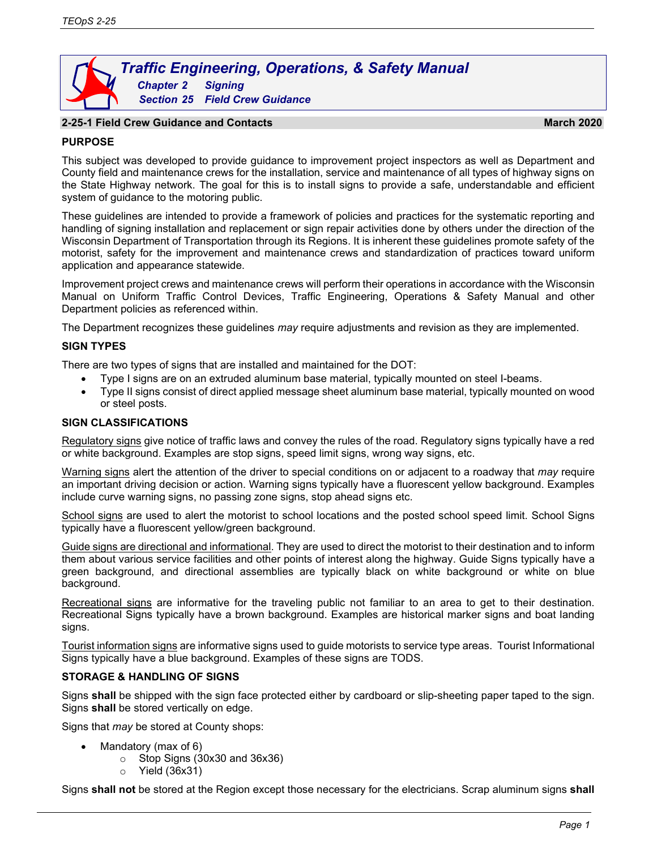# *Traffic Engineering, Operations, & Safety Manual Chapter 2 Signing Section 25 Field Crew Guidance*

# **2-25-1 Field Crew Guidance and Contacts March 2020**

# **PURPOSE**

This subject was developed to provide guidance to improvement project inspectors as well as Department and County field and maintenance crews for the installation, service and maintenance of all types of highway signs on the State Highway network. The goal for this is to install signs to provide a safe, understandable and efficient system of guidance to the motoring public.

These guidelines are intended to provide a framework of policies and practices for the systematic reporting and handling of signing installation and replacement or sign repair activities done by others under the direction of the Wisconsin Department of Transportation through its Regions. It is inherent these guidelines promote safety of the motorist, safety for the improvement and maintenance crews and standardization of practices toward uniform application and appearance statewide.

Improvement project crews and maintenance crews will perform their operations in accordance with the Wisconsin Manual on Uniform Traffic Control Devices, Traffic Engineering, Operations & Safety Manual and other Department policies as referenced within.

The Department recognizes these guidelines *may* require adjustments and revision as they are implemented.

# **SIGN TYPES**

There are two types of signs that are installed and maintained for the DOT:

- Type I signs are on an extruded aluminum base material, typically mounted on steel I-beams.
- Type II signs consist of direct applied message sheet aluminum base material, typically mounted on wood or steel posts.

# **SIGN CLASSIFICATIONS**

Regulatory signs give notice of traffic laws and convey the rules of the road. Regulatory signs typically have a red or white background. Examples are stop signs, speed limit signs, wrong way signs, etc.

Warning signs alert the attention of the driver to special conditions on or adjacent to a roadway that *may* require an important driving decision or action. Warning signs typically have a fluorescent yellow background. Examples include curve warning signs, no passing zone signs, stop ahead signs etc.

School signs are used to alert the motorist to school locations and the posted school speed limit. School Signs typically have a fluorescent yellow/green background.

Guide signs are directional and informational. They are used to direct the motorist to their destination and to inform them about various service facilities and other points of interest along the highway. Guide Signs typically have a green background, and directional assemblies are typically black on white background or white on blue background.

Recreational signs are informative for the traveling public not familiar to an area to get to their destination. Recreational Signs typically have a brown background. Examples are historical marker signs and boat landing signs.

Tourist information signs are informative signs used to guide motorists to service type areas. Tourist Informational Signs typically have a blue background. Examples of these signs are TODS.

# **STORAGE & HANDLING OF SIGNS**

Signs **shall** be shipped with the sign face protected either by cardboard or slip-sheeting paper taped to the sign. Signs **shall** be stored vertically on edge.

Signs that *may* be stored at County shops:

- Mandatory (max of 6)
	- $\circ$  Stop Signs (30x30 and 36x36)
	- o Yield (36x31)

Signs **shall not** be stored at the Region except those necessary for the electricians. Scrap aluminum signs **shall**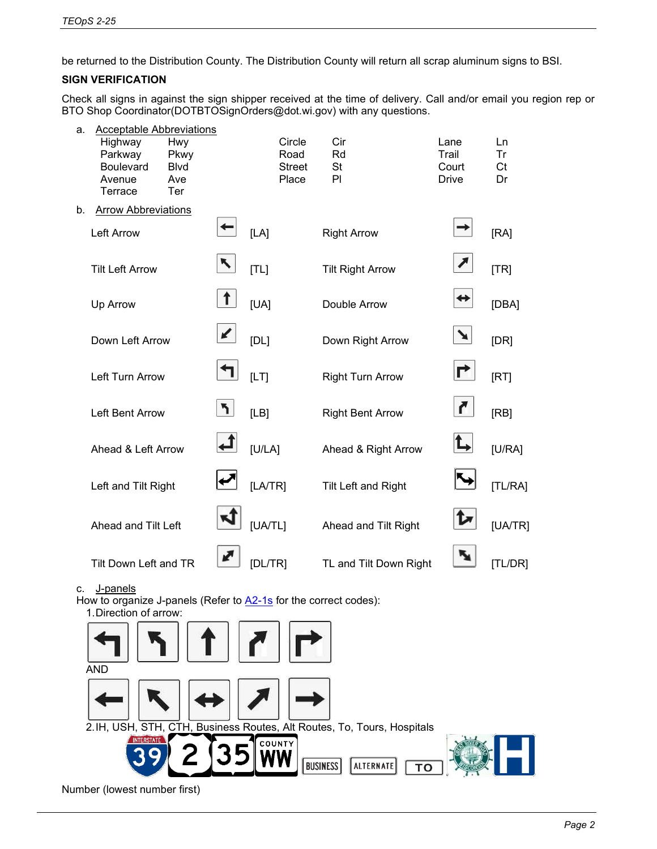be returned to the Distribution County. The Distribution County will return all scrap aluminum signs to BSI.

# **SIGN VERIFICATION**

Check all signs in against the sign shipper received at the time of delivery. Call and/or email you region rep or BTO Shop Coordinator(DOTBTOSignOrders@dot.wi.gov) with any questions.



c. J-panels

How to organize J-panels (Refer to [A2-1s](http://wisconsindot.gov/dtsdManuals/traffic-ops/manuals-and-standards/signplate/aseries/A2-1S.pdf) for the correct codes): 1.Direction of arrow:



Number (lowest number first)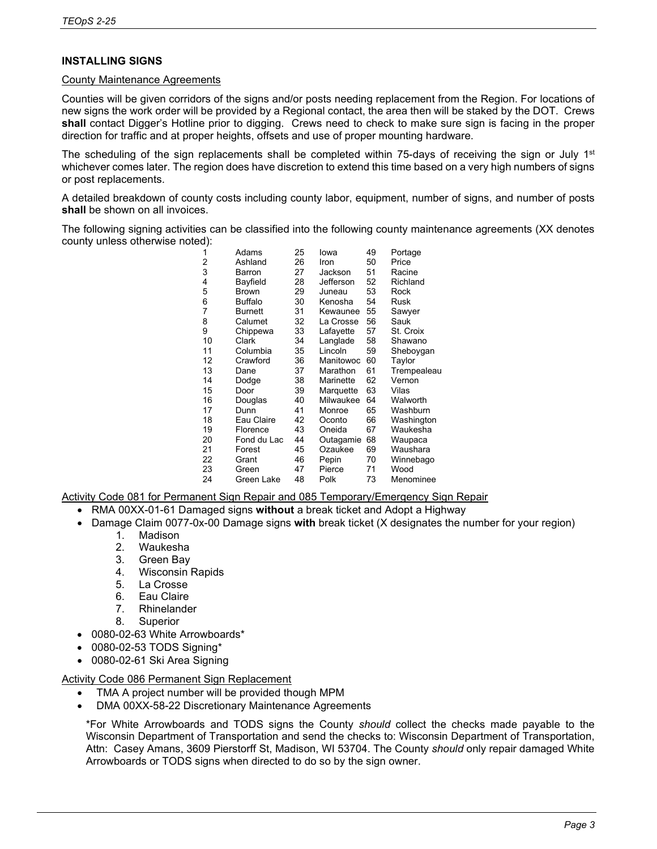# **INSTALLING SIGNS**

# County Maintenance Agreements

Counties will be given corridors of the signs and/or posts needing replacement from the Region. For locations of new signs the work order will be provided by a Regional contact, the area then will be staked by the DOT. Crews **shall** contact Digger's Hotline prior to digging. Crews need to check to make sure sign is facing in the proper direction for traffic and at proper heights, offsets and use of proper mounting hardware.

The scheduling of the sign replacements shall be completed within 75-days of receiving the sign or July  $1<sup>st</sup>$ whichever comes later. The region does have discretion to extend this time based on a very high numbers of signs or post replacements.

A detailed breakdown of county costs including county labor, equipment, number of signs, and number of posts **shall** be shown on all invoices.

The following signing activities can be classified into the following county maintenance agreements (XX denotes county unless otherwise noted):

| $\prime$ |                |    |           |    |             |
|----------|----------------|----|-----------|----|-------------|
| 1        | Adams          | 25 | lowa      | 49 | Portage     |
| 2        | Ashland        | 26 | Iron      | 50 | Price       |
| 3        | Barron         | 27 | Jackson   | 51 | Racine      |
| 4        | Bayfield       | 28 | Jefferson | 52 | Richland    |
| 5        | <b>Brown</b>   | 29 | Juneau    | 53 | Rock        |
| 6        | <b>Buffalo</b> | 30 | Kenosha   | 54 | Rusk        |
| 7        | Burnett        | 31 | Kewaunee  | 55 | Sawyer      |
| 8        | Calumet        | 32 | La Crosse | 56 | Sauk        |
| 9        | Chippewa       | 33 | Lafayette | 57 | St. Croix   |
| 10       | Clark          | 34 | Langlade  | 58 | Shawano     |
| 11       | Columbia       | 35 | Lincoln   | 59 | Sheboygan   |
| 12       | Crawford       | 36 | Manitowoc | 60 | Taylor      |
| 13       | Dane           | 37 | Marathon  | 61 | Trempealeau |
| 14       | Dodge          | 38 | Marinette | 62 | Vernon      |
| 15       | Door           | 39 | Marquette | 63 | Vilas       |
| 16       | Douglas        | 40 | Milwaukee | 64 | Walworth    |
| 17       | Dunn           | 41 | Monroe    | 65 | Washburn    |
| 18       | Eau Claire     | 42 | Oconto    | 66 | Washington  |
| 19       | Florence       | 43 | Oneida    | 67 | Waukesha    |
| 20       | Fond du Lac    | 44 | Outagamie | 68 | Waupaca     |
| 21       | Forest         | 45 | Ozaukee   | 69 | Waushara    |
| 22       | Grant          | 46 | Pepin     | 70 | Winnebago   |
| 23       | Green          | 47 | Pierce    | 71 | Wood        |
| 24       | Green Lake     | 48 | Polk      | 73 | Menominee   |
|          |                |    |           |    |             |

Activity Code 081 for Permanent Sign Repair and 085 Temporary/Emergency Sign Repair

- RMA 00XX-01-61 Damaged signs **without** a break ticket and Adopt a Highway
- Damage Claim 0077-0x-00 Damage signs **with** break ticket (X designates the number for your region)
	-
	- 1. Madison<br>2. Waukesł Waukesha
	-
	- 3. Green Bay<br>4. Wisconsin **Wisconsin Rapids**
	- 5. La Crosse
	- 6. Eau Claire
	- 7. Rhinelander
	- 8. Superior
- 0080-02-63 White Arrowboards\*
- 0080-02-53 TODS Signing\*
- 0080-02-61 Ski Area Signing

# Activity Code 086 Permanent Sign Replacement

- TMA A project number will be provided though MPM
- DMA 00XX-58-22 Discretionary Maintenance Agreements

\*For White Arrowboards and TODS signs the County *should* collect the checks made payable to the Wisconsin Department of Transportation and send the checks to: Wisconsin Department of Transportation, Attn: Casey Amans, 3609 Pierstorff St, Madison, WI 53704. The County *should* only repair damaged White Arrowboards or TODS signs when directed to do so by the sign owner.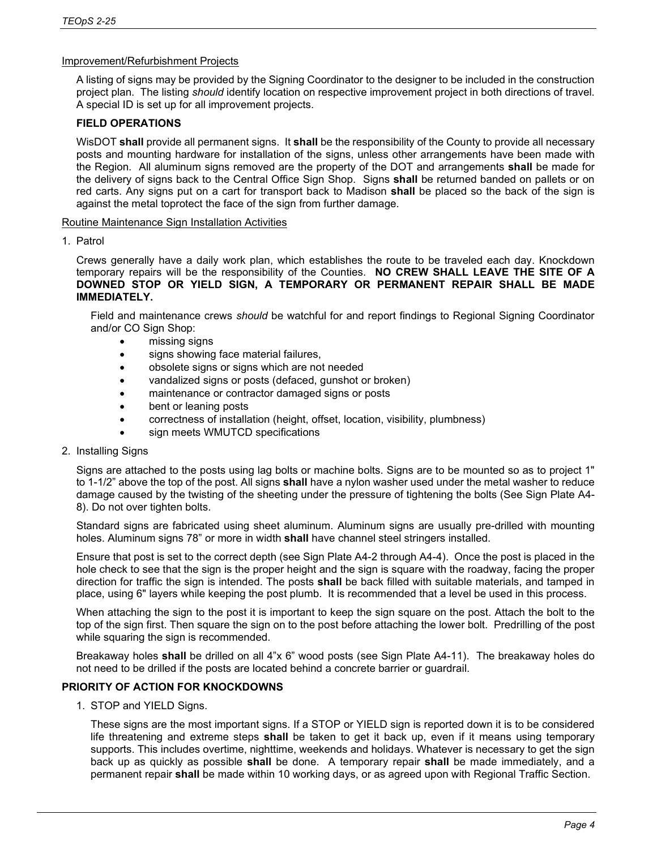# Improvement/Refurbishment Projects

A listing of signs may be provided by the Signing Coordinator to the designer to be included in the construction project plan. The listing *should* identify location on respective improvement project in both directions of travel. A special ID is set up for all improvement projects.

# **FIELD OPERATIONS**

WisDOT **shall** provide all permanent signs. It **shall** be the responsibility of the County to provide all necessary posts and mounting hardware for installation of the signs, unless other arrangements have been made with the Region. All aluminum signs removed are the property of the DOT and arrangements **shall** be made for the delivery of signs back to the Central Office Sign Shop. Signs **shall** be returned banded on pallets or on red carts. Any signs put on a cart for transport back to Madison **shall** be placed so the back of the sign is against the metal toprotect the face of the sign from further damage.

#### Routine Maintenance Sign Installation Activities

#### 1. Patrol

Crews generally have a daily work plan, which establishes the route to be traveled each day. Knockdown temporary repairs will be the responsibility of the Counties. **NO CREW SHALL LEAVE THE SITE OF A DOWNED STOP OR YIELD SIGN, A TEMPORARY OR PERMANENT REPAIR SHALL BE MADE IMMEDIATELY.**

Field and maintenance crews *should* be watchful for and report findings to Regional Signing Coordinator and/or CO Sign Shop:

- missing signs
- signs showing face material failures,
- obsolete signs or signs which are not needed
- vandalized signs or posts (defaced, gunshot or broken)
- maintenance or contractor damaged signs or posts
- bent or leaning posts
- correctness of installation (height, offset, location, visibility, plumbness)
- sign meets WMUTCD specifications
- 2. Installing Signs

Signs are attached to the posts using lag bolts or machine bolts. Signs are to be mounted so as to project 1" to 1-1/2" above the top of the post. All signs **shall** have a nylon washer used under the metal washer to reduce damage caused by the twisting of the sheeting under the pressure of tightening the bolts (See Sign Plate A4- 8). Do not over tighten bolts.

Standard signs are fabricated using sheet aluminum. Aluminum signs are usually pre-drilled with mounting holes. Aluminum signs 78" or more in width **shall** have channel steel stringers installed.

Ensure that post is set to the correct depth (see Sign Plate A4-2 through A4-4). Once the post is placed in the hole check to see that the sign is the proper height and the sign is square with the roadway, facing the proper direction for traffic the sign is intended. The posts **shall** be back filled with suitable materials, and tamped in place, using 6" layers while keeping the post plumb. It is recommended that a level be used in this process.

When attaching the sign to the post it is important to keep the sign square on the post. Attach the bolt to the top of the sign first. Then square the sign on to the post before attaching the lower bolt. Predrilling of the post while squaring the sign is recommended.

Breakaway holes **shall** be drilled on all 4"x 6" wood posts (see Sign Plate A4-11). The breakaway holes do not need to be drilled if the posts are located behind a concrete barrier or guardrail.

# **PRIORITY OF ACTION FOR KNOCKDOWNS**

1. STOP and YIELD Signs.

These signs are the most important signs. If a STOP or YIELD sign is reported down it is to be considered life threatening and extreme steps **shall** be taken to get it back up, even if it means using temporary supports. This includes overtime, nighttime, weekends and holidays. Whatever is necessary to get the sign back up as quickly as possible **shall** be done. A temporary repair **shall** be made immediately, and a permanent repair **shall** be made within 10 working days, or as agreed upon with Regional Traffic Section.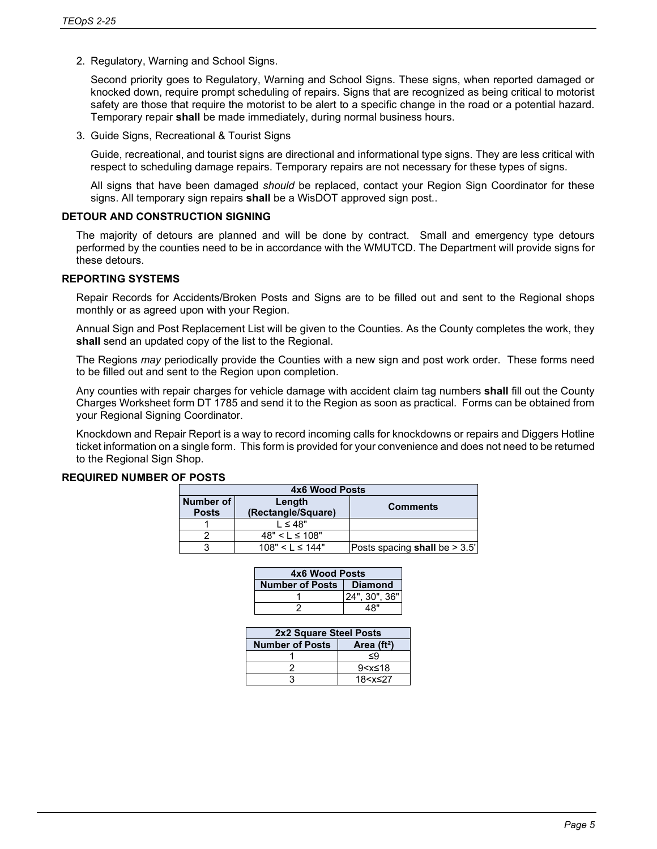2. Regulatory, Warning and School Signs.

Second priority goes to Regulatory, Warning and School Signs. These signs, when reported damaged or knocked down, require prompt scheduling of repairs. Signs that are recognized as being critical to motorist safety are those that require the motorist to be alert to a specific change in the road or a potential hazard. Temporary repair **shall** be made immediately, during normal business hours.

3. Guide Signs, Recreational & Tourist Signs

Guide, recreational, and tourist signs are directional and informational type signs. They are less critical with respect to scheduling damage repairs. Temporary repairs are not necessary for these types of signs.

All signs that have been damaged *should* be replaced, contact your Region Sign Coordinator for these signs. All temporary sign repairs **shall** be a WisDOT approved sign post..

#### **DETOUR AND CONSTRUCTION SIGNING**

The majority of detours are planned and will be done by contract. Small and emergency type detours performed by the counties need to be in accordance with the WMUTCD. The Department will provide signs for these detours.

# **REPORTING SYSTEMS**

Repair Records for Accidents/Broken Posts and Signs are to be filled out and sent to the Regional shops monthly or as agreed upon with your Region.

Annual Sign and Post Replacement List will be given to the Counties. As the County completes the work, they **shall** send an updated copy of the list to the Regional.

The Regions *may* periodically provide the Counties with a new sign and post work order. These forms need to be filled out and sent to the Region upon completion.

Any counties with repair charges for vehicle damage with accident claim tag numbers **shall** fill out the County Charges Worksheet form DT 1785 and send it to the Region as soon as practical. Forms can be obtained from your Regional Signing Coordinator.

Knockdown and Repair Report is a way to record incoming calls for knockdowns or repairs and Diggers Hotline ticket information on a single form. This form is provided for your convenience and does not need to be returned to the Regional Sign Shop.

# **REQUIRED NUMBER OF POSTS**

| 4x6 Wood Posts |                     |                                 |  |
|----------------|---------------------|---------------------------------|--|
| Number of      | Length              | <b>Comments</b>                 |  |
| <b>Posts</b>   | (Rectangle/Square)  |                                 |  |
|                | $1 \leq 48"$        |                                 |  |
|                | $48" < L \le 108"$  |                                 |  |
|                | $108" < L \le 144"$ | Posts spacing shall be $> 3.5'$ |  |

| 4x6 Wood Posts            |               |  |  |
|---------------------------|---------------|--|--|
| Number of Posts   Diamond |               |  |  |
|                           | 24", 30", 36" |  |  |
|                           | 48"           |  |  |

| 2x2 Square Steel Posts |                          |  |  |
|------------------------|--------------------------|--|--|
| <b>Number of Posts</b> | Area $(ft2)$             |  |  |
|                        | ≤9                       |  |  |
|                        | 9 <x≤18< td=""></x≤18<>  |  |  |
|                        | 18 <x≤27< td=""></x≤27<> |  |  |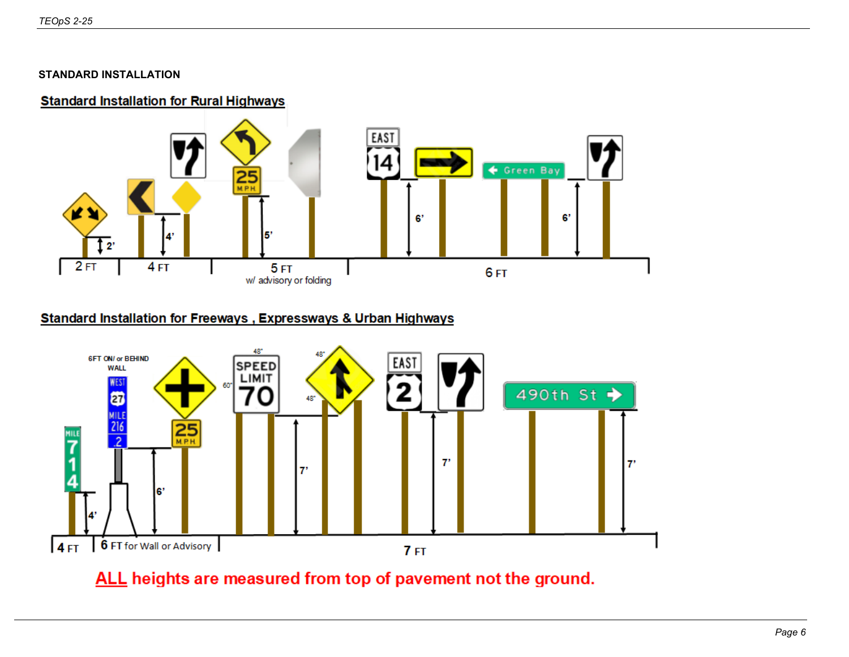# **STANDARD INSTALLATION**

# **Standard Installation for Rural Highways**



# **Standard Installation for Freeways, Expressways & Urban Highways**



# ALL heights are measured from top of pavement not the ground.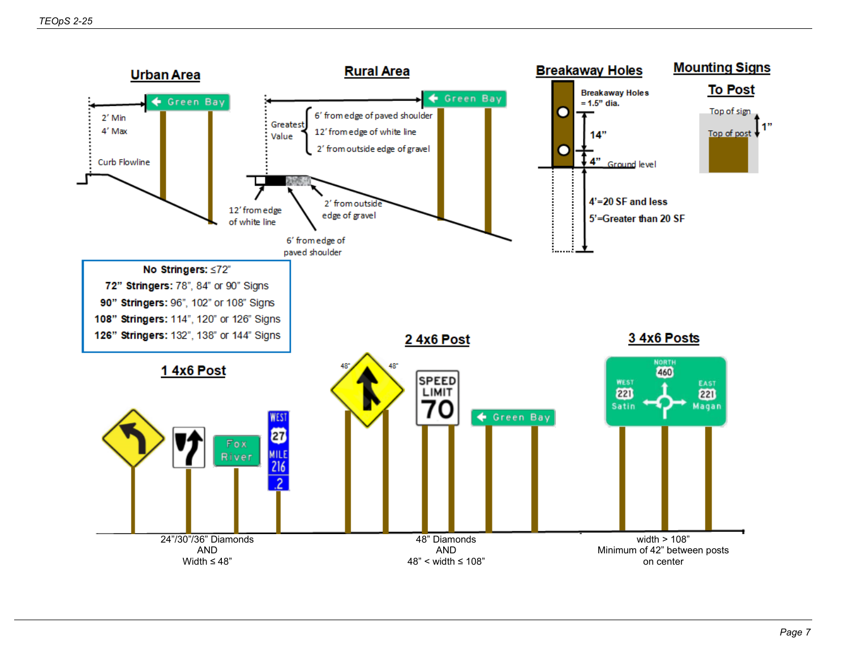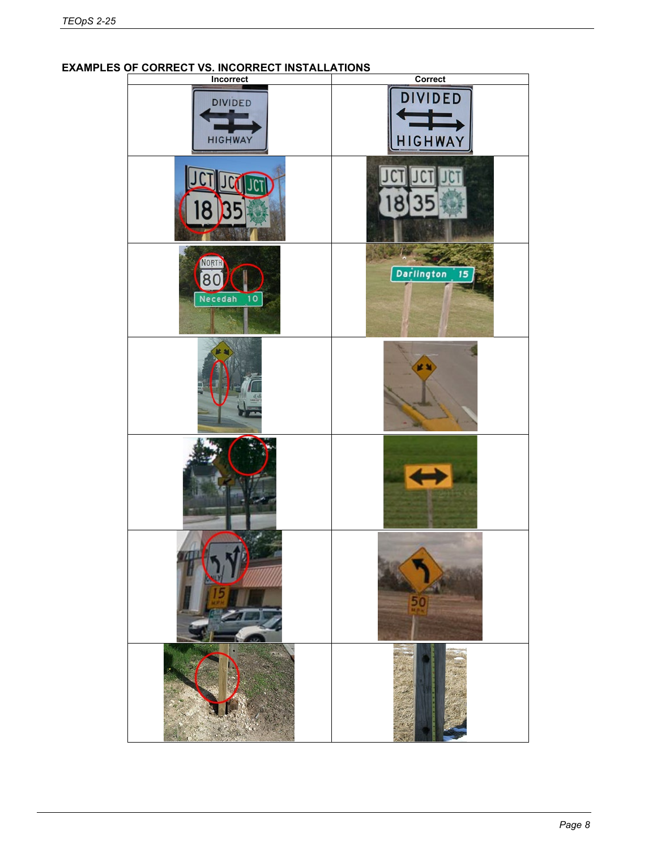# **Incorrect CorrectDIVIDED DIVIDED HIGHWAY HIGHWAY**  $\Gamma$  $8$ 35 8 1324 ~ NORTH Darlington 15 80 Necedah 10

城

# **EXAMPLES OF CORRECT VS. INCORRECT INSTALLATIONS**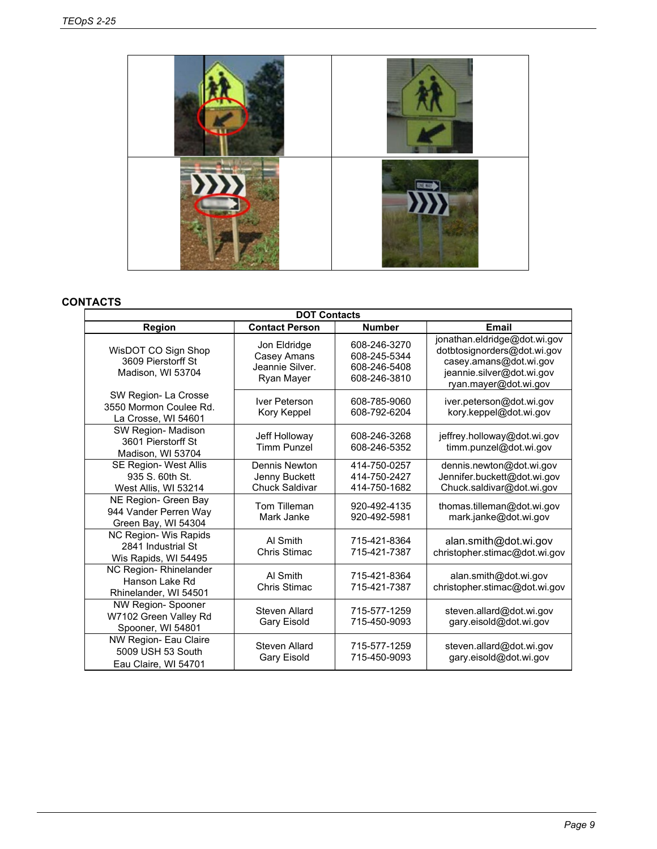

# **CONTACTS**

| <b>DOT Contacts</b>                                                  |                                                              |                                                              |                                                                                                                                             |  |
|----------------------------------------------------------------------|--------------------------------------------------------------|--------------------------------------------------------------|---------------------------------------------------------------------------------------------------------------------------------------------|--|
| Region                                                               | <b>Contact Person</b>                                        | <b>Number</b>                                                | <b>Email</b>                                                                                                                                |  |
| WisDOT CO Sign Shop<br>3609 Pierstorff St<br>Madison, WI 53704       | Jon Eldridge<br>Casey Amans<br>Jeannie Silver.<br>Ryan Mayer | 608-246-3270<br>608-245-5344<br>608-246-5408<br>608-246-3810 | jonathan.eldridge@dot.wi.gov<br>dotbtosignorders@dot.wi.gov<br>casey.amans@dot.wi.gov<br>jeannie.silver@dot.wi.gov<br>ryan.mayer@dot.wi.gov |  |
| SW Region-La Crosse<br>3550 Mormon Coulee Rd.<br>La Crosse, WI 54601 | Iver Peterson<br>Kory Keppel                                 | 608-785-9060<br>608-792-6204                                 | iver.peterson@dot.wi.gov<br>kory.keppel@dot.wi.gov                                                                                          |  |
| SW Region- Madison<br>3601 Pierstorff St<br>Madison, WI 53704        | Jeff Holloway<br><b>Timm Punzel</b>                          | 608-246-3268<br>608-246-5352                                 | jeffrey.holloway@dot.wi.gov<br>timm.punzel@dot.wi.gov                                                                                       |  |
| SE Region- West Allis<br>935 S. 60th St.<br>West Allis, WI 53214     | Dennis Newton<br>Jenny Buckett<br><b>Chuck Saldivar</b>      | 414-750-0257<br>414-750-2427<br>414-750-1682                 | dennis.newton@dot.wi.gov<br>Jennifer.buckett@dot.wi.gov<br>Chuck.saldivar@dot.wi.gov                                                        |  |
| NE Region- Green Bay<br>944 Vander Perren Way<br>Green Bay, WI 54304 | Tom Tilleman<br>Mark Janke                                   | 920-492-4135<br>920-492-5981                                 | thomas.tilleman@dot.wi.gov<br>mark.janke@dot.wi.gov                                                                                         |  |
| NC Region- Wis Rapids<br>2841 Industrial St<br>Wis Rapids, WI 54495  | Al Smith<br>Chris Stimac                                     | 715-421-8364<br>715-421-7387                                 | alan.smith@dot.wi.gov<br>christopher.stimac@dot.wi.gov                                                                                      |  |
| NC Region-Rhinelander<br>Hanson Lake Rd<br>Rhinelander, WI 54501     | Al Smith<br>Chris Stimac                                     | 715-421-8364<br>715-421-7387                                 | alan.smith@dot.wi.gov<br>christopher.stimac@dot.wi.gov                                                                                      |  |
| NW Region- Spooner<br>W7102 Green Valley Rd<br>Spooner, WI 54801     | Steven Allard<br><b>Gary Eisold</b>                          | 715-577-1259<br>715-450-9093                                 | steven.allard@dot.wi.gov<br>gary.eisold@dot.wi.gov                                                                                          |  |
| NW Region- Eau Claire<br>5009 USH 53 South<br>Eau Claire, WI 54701   | Steven Allard<br><b>Gary Eisold</b>                          | 715-577-1259<br>715-450-9093                                 | steven.allard@dot.wi.gov<br>gary.eisold@dot.wi.gov                                                                                          |  |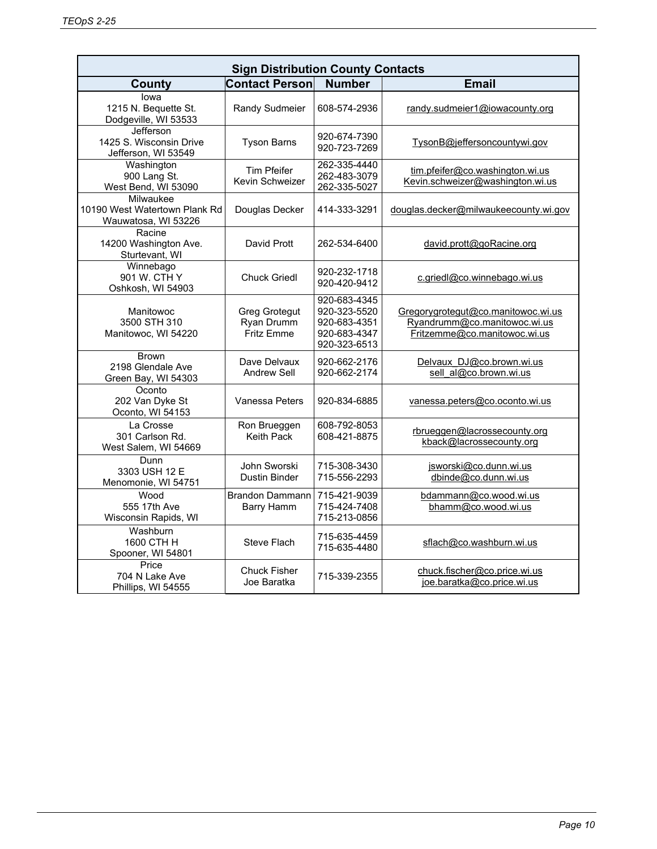| <b>Sign Distribution County Contacts</b>                          |                                                  |                                                                              |                                                                                                    |  |
|-------------------------------------------------------------------|--------------------------------------------------|------------------------------------------------------------------------------|----------------------------------------------------------------------------------------------------|--|
| <b>County</b>                                                     | <b>Contact Person</b>                            | <b>Number</b>                                                                | <b>Email</b>                                                                                       |  |
| lowa<br>1215 N. Bequette St.<br>Dodgeville, WI 53533              | Randy Sudmeier                                   | 608-574-2936                                                                 | randy.sudmeier1@iowacounty.org                                                                     |  |
| Jefferson<br>1425 S. Wisconsin Drive<br>Jefferson, WI 53549       | <b>Tyson Barns</b>                               | 920-674-7390<br>920-723-7269                                                 | TysonB@jeffersoncountywi.gov                                                                       |  |
| Washington<br>900 Lang St.<br>West Bend, WI 53090                 | <b>Tim Pfeifer</b><br>Kevin Schweizer            | 262-335-4440<br>262-483-3079<br>262-335-5027                                 | tim.pfeifer@co.washington.wi.us<br>Kevin.schweizer@washington.wi.us                                |  |
| Milwaukee<br>10190 West Watertown Plank Rd<br>Wauwatosa, WI 53226 | Douglas Decker                                   | 414-333-3291                                                                 | douglas.decker@milwaukeecounty.wi.gov                                                              |  |
| Racine<br>14200 Washington Ave.<br>Sturtevant, WI                 | David Prott                                      | 262-534-6400                                                                 | david.prott@goRacine.org                                                                           |  |
| Winnebago<br>901 W. CTH Y<br>Oshkosh, WI 54903                    | <b>Chuck Griedl</b>                              | 920-232-1718<br>920-420-9412                                                 | c.griedl@co.winnebago.wi.us                                                                        |  |
| Manitowoc<br>3500 STH 310<br>Manitowoc, WI 54220                  | <b>Greg Grotegut</b><br>Ryan Drumm<br>Fritz Emme | 920-683-4345<br>920-323-5520<br>920-683-4351<br>920-683-4347<br>920-323-6513 | Gregorygrotegut@co.manitowoc.wi.us<br>Ryandrumm@co.manitowoc.wi.us<br>Fritzemme@co.manitowoc.wi.us |  |
| <b>Brown</b><br>2198 Glendale Ave<br>Green Bay, WI 54303          | Dave Delvaux<br>Andrew Sell                      | 920-662-2176<br>920-662-2174                                                 | Delvaux DJ@co.brown.wi.us<br>sell_al@co.brown.wi.us                                                |  |
| Oconto<br>202 Van Dyke St<br>Oconto, WI 54153                     | Vanessa Peters                                   | 920-834-6885                                                                 | vanessa.peters@co.oconto.wi.us                                                                     |  |
| La Crosse<br>301 Carlson Rd.<br>West Salem, WI 54669              | Ron Brueggen<br><b>Keith Pack</b>                | 608-792-8053<br>608-421-8875                                                 | rbrueggen@lacrossecounty.org<br>kback@lacrossecounty.org                                           |  |
| Dunn<br>3303 USH 12 E<br>Menomonie, WI 54751                      | John Sworski<br><b>Dustin Binder</b>             | 715-308-3430<br>715-556-2293                                                 | jsworski@co.dunn.wi.us<br>dbinde@co.dunn.wi.us                                                     |  |
| Wood<br>555 17th Ave<br>Wisconsin Rapids, WI                      | <b>Brandon Dammann</b><br><b>Barry Hamm</b>      | 715-421-9039<br>715-424-7408<br>715-213-0856                                 | bdammann@co.wood.wi.us<br>bhamm@co.wood.wi.us                                                      |  |
| Washburn<br>1600 CTH H<br>Spooner, WI 54801                       | Steve Flach                                      | 715-635-4459<br>715-635-4480                                                 | sflach@co.washburn.wi.us                                                                           |  |
| Price<br>704 N Lake Ave<br>Phillips, WI 54555                     | <b>Chuck Fisher</b><br>Joe Baratka               | 715-339-2355                                                                 | chuck.fischer@co.price.wi.us<br>joe.baratka@co.price.wi.us                                         |  |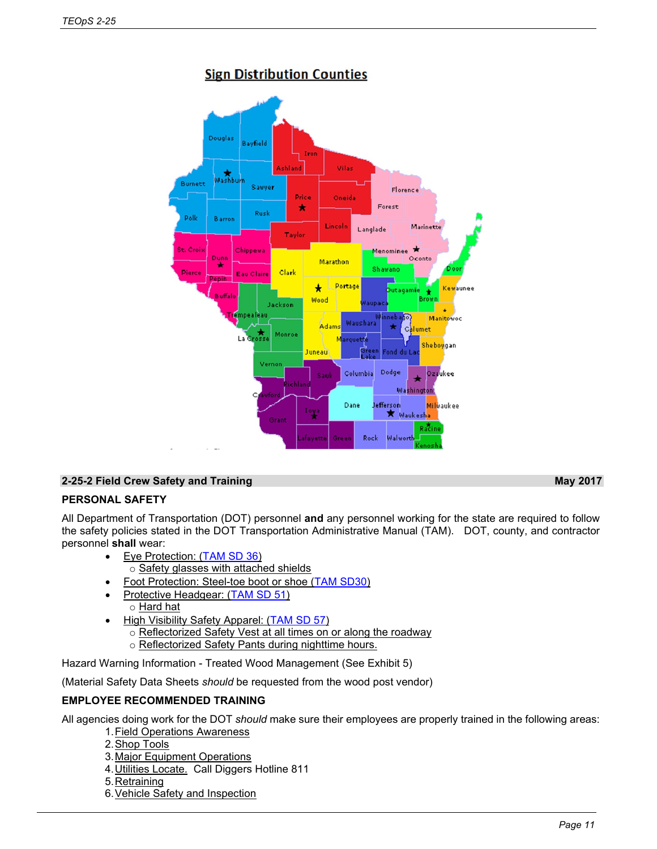

# **Sign Distribution Counties**

# **2-25-2 Field Crew Safety and Training May 2017**

# **PERSONAL SAFETY**

All Department of Transportation (DOT) personnel **and** any personnel working for the state are required to follow the safety policies stated in the DOT Transportation Administrative Manual (TAM). DOT, county, and contractor personnel **shall** wear:

- Eye Protection: [\(TAM SD 36\)](http://dotnet/bmssafetyhazmat/tamsdirectives/docs/sd36-eye.doc) o Safety glasses with attached shields
	- Foot Protection: Steel-toe boot or shoe [\(TAM SD30\)](http://dotnet/bmssafetyhazmat/tamsdirectives/docs/sd30-foot.doc)
- Protective Headgear: [\(TAM SD 51\)](http://dotnet/bmssafetyhazmat/tamsdirectives/docs/sd51-head.doc)
	- o **Hard hat**
- High Visibility Safety Apparel: [\(TAM SD 57\)](http://dotnet/bmssafetyhazmat/tamsdirectives/docs/sd57-hiviz.doc)
	- o Reflectorized Safety Vest at all times on or along the roadway o Reflectorized Safety Pants during nighttime hours.

Hazard Warning Information - Treated Wood Management (See Exhibit 5)

(Material Safety Data Sheets *should* be requested from the wood post vendor)

# **EMPLOYEE RECOMMENDED TRAINING**

All agencies doing work for the DOT *should* make sure their employees are properly trained in the following areas:

- 1.Field Operations Awareness
- 2.Shop Tools
- 3.Major Equipment Operations
- 4.Utilities Locate. Call Diggers Hotline 811
- 5.Retraining
- 6.Vehicle Safety and Inspection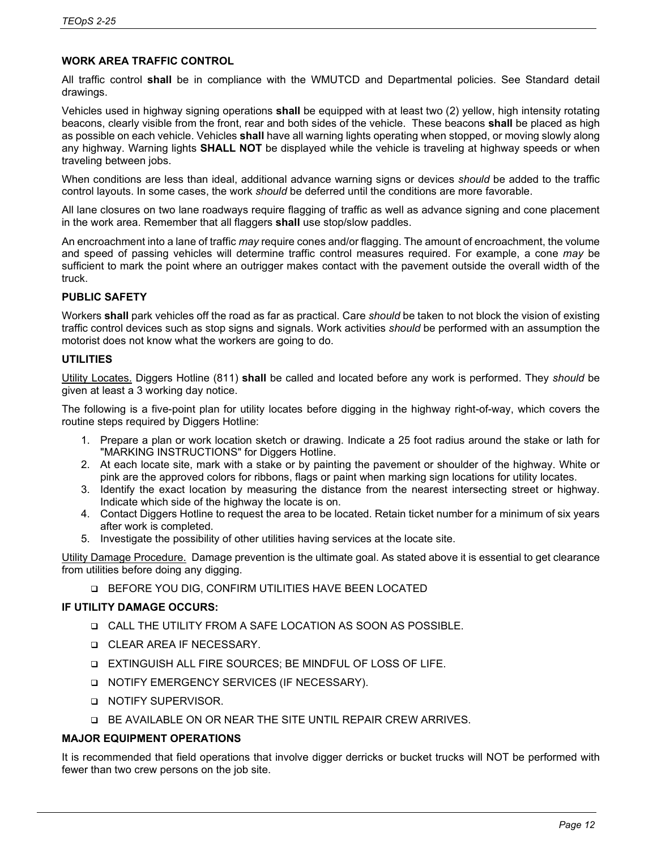# **WORK AREA TRAFFIC CONTROL**

All traffic control **shall** be in compliance with the WMUTCD and Departmental policies. See Standard detail drawings.

Vehicles used in highway signing operations **shall** be equipped with at least two (2) yellow, high intensity rotating beacons, clearly visible from the front, rear and both sides of the vehicle. These beacons **shall** be placed as high as possible on each vehicle. Vehicles **shall** have all warning lights operating when stopped, or moving slowly along any highway. Warning lights **SHALL NOT** be displayed while the vehicle is traveling at highway speeds or when traveling between jobs.

When conditions are less than ideal, additional advance warning signs or devices *should* be added to the traffic control layouts. In some cases, the work *should* be deferred until the conditions are more favorable.

All lane closures on two lane roadways require flagging of traffic as well as advance signing and cone placement in the work area. Remember that all flaggers **shall** use stop/slow paddles.

An encroachment into a lane of traffic *may* require cones and/or flagging. The amount of encroachment, the volume and speed of passing vehicles will determine traffic control measures required. For example, a cone *may* be sufficient to mark the point where an outrigger makes contact with the pavement outside the overall width of the truck.

# **PUBLIC SAFETY**

Workers **shall** park vehicles off the road as far as practical. Care *should* be taken to not block the vision of existing traffic control devices such as stop signs and signals. Work activities *should* be performed with an assumption the motorist does not know what the workers are going to do.

# **UTILITIES**

Utility Locates. Diggers Hotline (811) **shall** be called and located before any work is performed. They *should* be given at least a 3 working day notice.

The following is a five-point plan for utility locates before digging in the highway right-of-way, which covers the routine steps required by Diggers Hotline:

- 1. Prepare a plan or work location sketch or drawing. Indicate a 25 foot radius around the stake or lath for "MARKING INSTRUCTIONS" for Diggers Hotline.
- 2. At each locate site, mark with a stake or by painting the pavement or shoulder of the highway. White or pink are the approved colors for ribbons, flags or paint when marking sign locations for utility locates.
- 3. Identify the exact location by measuring the distance from the nearest intersecting street or highway. Indicate which side of the highway the locate is on.
- 4. Contact Diggers Hotline to request the area to be located. Retain ticket number for a minimum of six years after work is completed.
- 5. Investigate the possibility of other utilities having services at the locate site.

Utility Damage Procedure. Damage prevention is the ultimate goal. As stated above it is essential to get clearance from utilities before doing any digging.

BEFORE YOU DIG, CONFIRM UTILITIES HAVE BEEN LOCATED

# **IF UTILITY DAMAGE OCCURS:**

- CALL THE UTILITY FROM A SAFE LOCATION AS SOON AS POSSIBLE.
- **Q CLEAR AREA IF NECESSARY.**
- EXTINGUISH ALL FIRE SOURCES; BE MINDFUL OF LOSS OF LIFE.
- □ NOTIFY EMERGENCY SERVICES (IF NECESSARY).
- **Q NOTIFY SUPERVISOR.**
- BE AVAILABLE ON OR NEAR THE SITE UNTIL REPAIR CREW ARRIVES.

# **MAJOR EQUIPMENT OPERATIONS**

It is recommended that field operations that involve digger derricks or bucket trucks will NOT be performed with fewer than two crew persons on the job site.